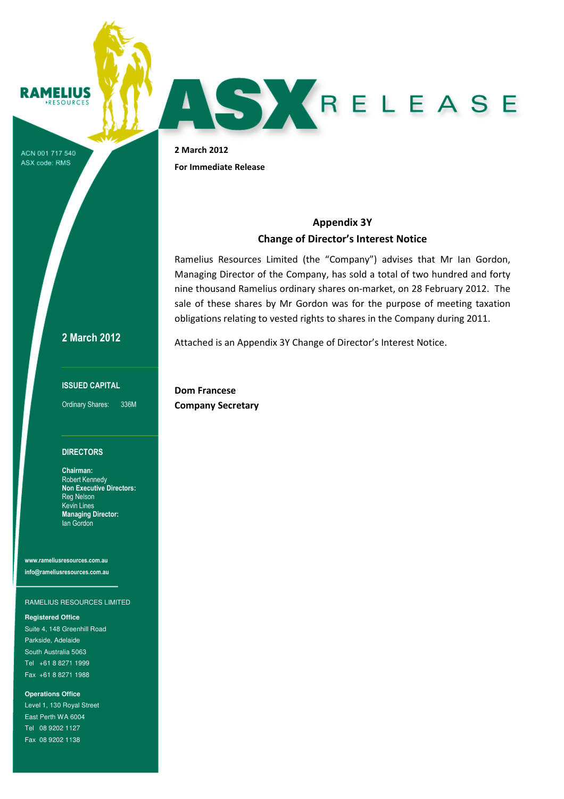### **RAMELIUS** ESOURCES

ACN 001 717 540 ASX code: RMS

2 March 2012 For Immediate Release

# Appendix 3Y Change of Director's Interest Notice

Ramelius Resources Limited (the "Company") advises that Mr Ian Gordon, Managing Director of the Company, has sold a total of two hundred and forty nine thousand Ramelius ordinary shares on-market, on 28 February 2012. The sale of these shares by Mr Gordon was for the purpose of meeting taxation obligations relating to vested rights to shares in the Company during 2011.

Attached is an Appendix 3Y Change of Director's Interest Notice.

2 March 2012

### ISSUED CAPITAL

Ordinary Shares: 336M

### **DIRECTORS**

Chairman: Robert Kennedy Non Executive Directors: Reg Nelson Kevin Lines Managing Director: Ian Gordon

www.rameliusresources.com.au info@rameliusresources.com.au

### RAMELIUS RESOURCES LIMITED

### **Registered Office**

Suite 4, 148 Greenhill Road Parkside, Adelaide South Australia 5063 Tel +61 8 8271 1999 Fax +61 8 8271 1988

**Operations Office**  Level 1, 130 Royal Street East Perth WA 6004 Tel 08 9202 1127 Fax 08 9202 1138

Dom Francese Company Secretary

AS KRELEASE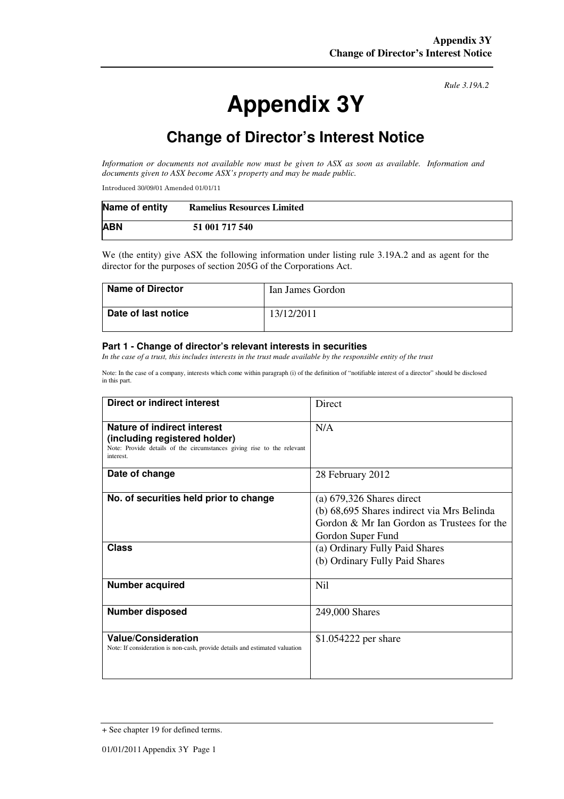# **Appendix 3Y**

*Rule 3.19A.2*

# **Change of Director's Interest Notice**

*Information or documents not available now must be given to ASX as soon as available. Information and documents given to ASX become ASX's property and may be made public.* 

Introduced 30/09/01 Amended 01/01/11

| Name of entity | <b>Ramelius Resources Limited</b> |
|----------------|-----------------------------------|
| <b>ABN</b>     | 51 001 717 540                    |

We (the entity) give ASX the following information under listing rule 3.19A.2 and as agent for the director for the purposes of section 205G of the Corporations Act.

| <b>Name of Director</b> | Ian James Gordon |
|-------------------------|------------------|
| Date of last notice     | 13/12/2011       |

### **Part 1 - Change of director's relevant interests in securities**

*In the case of a trust, this includes interests in the trust made available by the responsible entity of the trust* 

Note: In the case of a company, interests which come within paragraph (i) of the definition of "notifiable interest of a director" should be disclosed in this part.

| Direct or indirect interest                                                                                                                         | Direct                                                                                                                                                                         |  |
|-----------------------------------------------------------------------------------------------------------------------------------------------------|--------------------------------------------------------------------------------------------------------------------------------------------------------------------------------|--|
| Nature of indirect interest<br>(including registered holder)<br>Note: Provide details of the circumstances giving rise to the relevant<br>interest. | N/A                                                                                                                                                                            |  |
| Date of change                                                                                                                                      | 28 February 2012                                                                                                                                                               |  |
| No. of securities held prior to change<br>Class                                                                                                     | $(a)$ 679,326 Shares direct<br>(b) 68,695 Shares indirect via Mrs Belinda<br>Gordon & Mr Ian Gordon as Trustees for the<br>Gordon Super Fund<br>(a) Ordinary Fully Paid Shares |  |
|                                                                                                                                                     | (b) Ordinary Fully Paid Shares                                                                                                                                                 |  |
| <b>Number acquired</b>                                                                                                                              | Nil                                                                                                                                                                            |  |
| Number disposed                                                                                                                                     | 249,000 Shares                                                                                                                                                                 |  |
| <b>Value/Consideration</b><br>Note: If consideration is non-cash, provide details and estimated valuation                                           | \$1.054222 per share                                                                                                                                                           |  |

<sup>+</sup> See chapter 19 for defined terms.